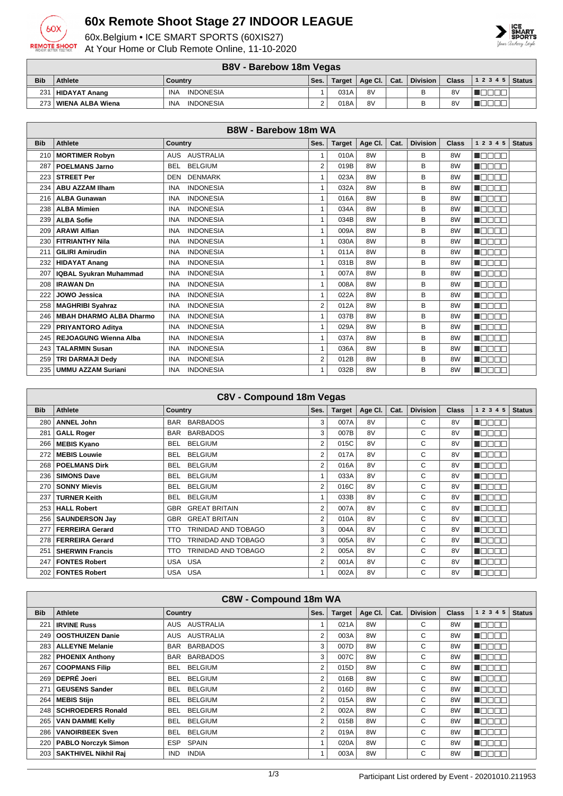

## **60x Remote Shoot Stage 27 INDOOR LEAGUE**

60x.Belgium • ICE SMART SPORTS (60XIS27) At Your Home or Club Remote Online, 11-10-2020



|            | <b>B8V - Barebow 18m Vegas</b>                                                                             |                                |  |      |    |  |   |    |  |  |
|------------|------------------------------------------------------------------------------------------------------------|--------------------------------|--|------|----|--|---|----|--|--|
| <b>Bib</b> | $12345$ Status<br>Division<br><b>Class</b><br>Target   Age Cl.   Cat.<br><b>Athlete</b><br>Ses.<br>Country |                                |  |      |    |  |   |    |  |  |
| 231        | HIDAYAT Anang                                                                                              | <b>INDONESIA</b><br><b>INA</b> |  | 031A | 8V |  | B | 8V |  |  |
|            | 8V<br>B<br>8V<br>273   WIENA ALBA Wiena<br>018A<br><b>INDONESIA</b><br><b>INA</b>                          |                                |  |      |    |  |   |    |  |  |

| <b>B8W - Barebow 18m WA</b> |                                |                                |                |               |         |      |                 |                |              |               |  |
|-----------------------------|--------------------------------|--------------------------------|----------------|---------------|---------|------|-----------------|----------------|--------------|---------------|--|
| <b>Bib</b>                  | <b>Athlete</b>                 | <b>Country</b>                 | Ses.           | <b>Target</b> | Age Cl. | Cat. | <b>Division</b> | <b>Class</b>   | 1 2 3 4 5    | <b>Status</b> |  |
| 210                         | <b>MORTIMER Robyn</b>          | <b>AUSTRALIA</b><br><b>AUS</b> |                | 010A          | 8W      |      | B               | 8W             | n Bood       |               |  |
| 287                         | <b>POELMANS Jarno</b>          | <b>BELGIUM</b><br><b>BEL</b>   | $\overline{2}$ | 019B          | 8W      |      | B               | 8W             | n de se      |               |  |
| 223                         | <b>STREET Per</b>              | <b>DENMARK</b><br>DEN          | 1              | 023A          | 8W      |      | B               | 8 <sub>W</sub> | HOOOO        |               |  |
| 234                         | <b>ABU AZZAM IIham</b>         | <b>INDONESIA</b><br><b>INA</b> | 1              | 032A          | 8W      |      | B               | 8W             | na se        |               |  |
| 216                         | <b>ALBA Gunawan</b>            | <b>INDONESIA</b><br><b>INA</b> | 1              | 016A          | 8W      |      | B               | 8W             | MONDER.      |               |  |
| 238                         | <b>ALBA Mimien</b>             | <b>INDONESIA</b><br><b>INA</b> | 1              | 034A          | 8W      |      | B               | 8W             | Maaaa        |               |  |
| 239                         | <b>ALBA Sofie</b>              | <b>INA</b><br><b>INDONESIA</b> | 1              | 034B          | 8W      |      | B               | 8W             | MODE S       |               |  |
| 209                         | <b>ARAWI Alfian</b>            | <b>INDONESIA</b><br><b>INA</b> | $\mathbf{1}$   | 009A          | 8W      |      | B               | 8W             | na mana      |               |  |
| 230                         | <b>FITRIANTHY Nila</b>         | <b>INDONESIA</b><br><b>INA</b> | 1              | 030A          | 8W      |      | B               | 8W             | MONDER.      |               |  |
| 211                         | <b>GILIRI Amirudin</b>         | <b>INDONESIA</b><br><b>INA</b> | 1              | 011A          | 8W      |      | B               | 8W             | Maaaa        |               |  |
| 232                         | <b>HIDAYAT Anang</b>           | <b>INDONESIA</b><br><b>INA</b> | $\mathbf{1}$   | 031B          | 8W      |      | B               | 8W             | ME E E E     |               |  |
| 207                         | <b>IQBAL Syukran Muhammad</b>  | <b>INDONESIA</b><br><b>INA</b> | 1              | 007A          | 8W      |      | B               | 8W             | na mana      |               |  |
| 208                         | <b>IRAWAN Dn</b>               | <b>INDONESIA</b><br><b>INA</b> | 1              | 008A          | 8W      |      | B               | 8W             | n de se      |               |  |
| 222                         | JOWO Jessica                   | <b>INDONESIA</b><br><b>INA</b> | 1              | 022A          | 8W      |      | B               | 8W             | n mana       |               |  |
| 258                         | <b>MAGHRIBI Syahraz</b>        | <b>INDONESIA</b><br><b>INA</b> | $\overline{2}$ | 012A          | 8W      |      | B               | 8W             | MODE S       |               |  |
| 246                         | <b>MBAH DHARMO ALBA Dharmo</b> | <b>INDONESIA</b><br><b>INA</b> | 1              | 037B          | 8W      |      | B               | 8W             | n a se se    |               |  |
| 229                         | PRIYANTORO Aditya              | <b>INDONESIA</b><br><b>INA</b> | 1              | 029A          | 8W      |      | B               | 8W             | n mana       |               |  |
| 245                         | <b>REJOAGUNG Wienna Alba</b>   | <b>INDONESIA</b><br><b>INA</b> | 1              | 037A          | 8W      |      | B               | 8W             | Maaaa        |               |  |
| 243                         | <b>TALARMIN Susan</b>          | <b>INDONESIA</b><br><b>INA</b> |                | 036A          | 8W      |      | B               | 8W             | <b>RADAR</b> |               |  |
| 259                         | <b>TRI DARMAJI Dedy</b>        | <b>INDONESIA</b><br><b>INA</b> | $\overline{2}$ | 012B          | 8W      |      | B               | 8W             | na a se      |               |  |
| 235                         | <b>UMMU AZZAM Suriani</b>      | <b>INDONESIA</b><br><b>INA</b> | 1              | 032B          | 8W      |      | B               | 8W             | Maaaa        |               |  |

| C8V - Compound 18m Vegas |                        |                                    |      |               |         |      |                 |              |               |               |
|--------------------------|------------------------|------------------------------------|------|---------------|---------|------|-----------------|--------------|---------------|---------------|
| <b>Bib</b>               | <b>Athlete</b>         | Country                            | Ses. | <b>Target</b> | Age Cl. | Cat. | <b>Division</b> | <b>Class</b> | 1 2 3 4 5     | <b>Status</b> |
| 280                      | <b>ANNEL John</b>      | <b>BARBADOS</b><br>BAR             | 3    | 007A          | 8V      |      | C               | 8V           | n a seo       |               |
| 281                      | <b>GALL Roger</b>      | <b>BARBADOS</b><br>BAR             | 3    | 007B          | 8V      |      | C               | 8V           | Maaaa         |               |
| 266                      | <b>MEBIS Kyano</b>     | <b>BELGIUM</b><br>BEL.             | 2    | 015C          | 8V      |      | C               | 8V           | Maaaa         |               |
| 272                      | <b>MEBIS Louwie</b>    | <b>BELGIUM</b><br>BEL.             | 2    | 017A          | 8V      |      | C               | 8V           | ME E E E      |               |
| 268                      | <b>POELMANS Dirk</b>   | <b>BELGIUM</b><br><b>BEL</b>       | 2    | 016A          | 8V      |      | C               | 8V           | n do do       |               |
| 236                      | <b>SIMONS Dave</b>     | <b>BELGIUM</b><br>BEL.             |      | 033A          | 8V      |      | C               | 8V           | Maaaa         |               |
| 270                      | <b>SONNY Mievis</b>    | <b>BELGIUM</b><br>BEL              | 2    | 016C          | 8V      |      | C               | 8V           | Maaaa         |               |
| 237                      | <b>TURNER Keith</b>    | <b>BELGIUM</b><br>BEL.             | 1    | 033B          | 8V      |      | C               | 8V           | ME E E E      |               |
| 253                      | <b>HALL Robert</b>     | <b>GREAT BRITAIN</b><br>GBR        | 2    | 007A          | 8V      |      | C               | 8V           | <b>RATTER</b> |               |
| 256                      | <b>SAUNDERSON Jay</b>  | <b>GREAT BRITAIN</b><br>GBR        | 2    | 010A          | 8V      |      | C               | 8V           | n Biblio      |               |
| 277                      | <b>FERREIRA Gerard</b> | <b>TRINIDAD AND TOBAGO</b><br>TTO  | 3    | 004A          | 8V      |      | C               | 8V           | Maaaa         |               |
| 278                      | <b>FERREIRA Gerard</b> | <b>TRINIDAD AND TOBAGO</b><br>TTO. | 3    | 005A          | 8V      |      | C               | 8V           | HOOOO         |               |
| 251                      | <b>SHERWIN Francis</b> | <b>TRINIDAD AND TOBAGO</b><br>TTO. | 2    | 005A          | 8V      |      | C               | 8V           | <b>RADOR</b>  |               |
| 247                      | <b>FONTES Robert</b>   | USA USA                            | 2    | 001A          | 8V      |      | C               | 8V           | n Biblio      |               |
| 202                      | <b>FONTES Robert</b>   | USA USA                            | 1    | 002A          | 8V      |      | C               | 8V           | Maaaa         |               |

|              | <b>C8W - Compound 18m WA</b> |                               |                |               |         |      |                 |                |               |               |  |
|--------------|------------------------------|-------------------------------|----------------|---------------|---------|------|-----------------|----------------|---------------|---------------|--|
| <b>Bib</b>   | <b>Athlete</b>               | <b>Country</b>                | Ses.           | <b>Target</b> | Age CI. | Cat. | <b>Division</b> | <b>Class</b>   | 1 2 3 4 5     | <b>Status</b> |  |
| $22^{\circ}$ | <b>IRVINE Russ</b>           | <b>AUSTRALIA</b><br>AUS       |                | 021A          | 8W      |      | C               | 8 <sub>W</sub> | n e se s      |               |  |
| 249          | <b>OOSTHUIZEN Danie</b>      | AUSTRALIA<br>AUS              | $\overline{2}$ | 003A          | 8W      |      | C               | 8W             | n Booo        |               |  |
| 283          | <b>ALLEYNE Melanie</b>       | <b>BARBADOS</b><br>BAR        | 3              | 007D          | 8W      |      | C               | 8W             | n aan a       |               |  |
| 282          | <b>PHOENIX Anthony</b>       | <b>BARBADOS</b><br><b>BAR</b> | 3              | 007C          | 8W      |      | C               | 8W             | n Booo        |               |  |
| 267          | <b>COOPMANS Filip</b>        | <b>BELGIUM</b><br><b>BEL</b>  | $\overline{2}$ | 015D          | 8W      |      | C               | 8W             | N DO O O      |               |  |
| 269          | <b>DEPRÉ Joeri</b>           | <b>BELGIUM</b><br>BEL         | 2              | 016B          | 8W      |      | C               | 8W             | <b>TEE EE</b> |               |  |
| 271          | <b>GEUSENS Sander</b>        | <b>BELGIUM</b><br>BEL         | $\overline{2}$ | 016D          | 8W      |      | C               | 8 <sub>W</sub> | HOOOO         |               |  |
| 264          | <b>MEBIS Stijn</b>           | <b>BELGIUM</b><br>BEL.        | $\overline{2}$ | 015A          | 8W      |      | C               | 8W             | N BE E B      |               |  |
| 248          | <b>SCHROEDERS Ronald</b>     | <b>BELGIUM</b><br><b>BEL</b>  | $\overline{2}$ | 002A          | 8W      |      | C               | 8 <sub>W</sub> | N DO O O      |               |  |
| 265          | <b>VAN DAMME Kelly</b>       | <b>BELGIUM</b><br>BEL.        | $\overline{2}$ | 015B          | 8W      |      | C               | 8 <sub>W</sub> | Maaaa         |               |  |
| 286          | <b>VANOIRBEEK Sven</b>       | <b>BELGIUM</b><br><b>BEL</b>  | $\overline{2}$ | 019A          | 8W      |      | C               | 8 <sub>W</sub> | ME E E        |               |  |
| 220          | <b>PABLO Norczyk Simon</b>   | <b>SPAIN</b><br><b>ESP</b>    |                | 020A          | 8W      |      | C               | 8W             | n Beec        |               |  |
|              | 203   SAKTHIVEL Nikhil Raj   | <b>INDIA</b><br><b>IND</b>    |                | 003A          | 8W      |      | C               | 8 <sub>W</sub> | N DO O O      |               |  |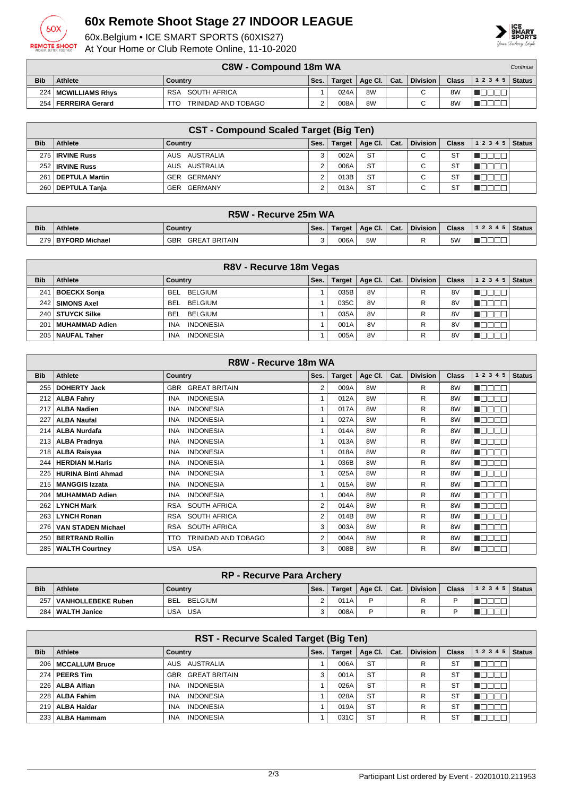

## **60x Remote Shoot Stage 27 INDOOR LEAGUE**

60x.Belgium • ICE SMART SPORTS (60XIS27) At Your Home or Club Remote Online, 11-10-2020



|            | <b>C8W - Compound 18m WA</b><br>Continue |                            |      |         |                                      |  |                 |              |                |  |
|------------|------------------------------------------|----------------------------|------|---------|--------------------------------------|--|-----------------|--------------|----------------|--|
| <b>Bib</b> | <b>Athlete</b>                           | Country                    | Ses. | Target, | $\parallel$ Age Cl. $\parallel$ Cat. |  | <b>Division</b> | <b>Class</b> | $12345$ Status |  |
|            | 224   MCWILLIAMS Rhys                    | SOUTH AFRICA<br><b>RSA</b> |      | 024A    | 8W                                   |  | $\sim$          | 8W           |                |  |
| 254        | FERREIRA Gerard                          | TRINIDAD AND TOBAGO<br>TTO |      | 008A    | 8W                                   |  |                 | 8W           |                |  |

|            | <b>CST - Compound Scaled Target (Big Ten)</b> |                |      |               |           |      |                 |              |           |               |  |
|------------|-----------------------------------------------|----------------|------|---------------|-----------|------|-----------------|--------------|-----------|---------------|--|
| <b>Bib</b> | <b>Athlete</b>                                | Country        | Ses. | <b>Target</b> | Age CI.   | Cat. | <b>Division</b> | <b>Class</b> | 1 2 3 4 5 | <b>Status</b> |  |
|            | 275   IRVINE Russ                             | AUS AUSTRALIA  |      | 002A          | <b>ST</b> |      | С               | -ST          |           |               |  |
|            | 252   IRVINE Russ                             | AUS AUSTRALIA  |      | 006A          | <b>ST</b> |      | С               | <b>ST</b>    |           |               |  |
| 261        | DEPTULA Martin                                | GER GERMANY    |      | 013B          | <b>ST</b> |      | $\mathbf \cdot$ | -ST          |           |               |  |
|            | 260   DEPTULA Tanja                           | GERMANY<br>GER |      | 013A          | <b>ST</b> |      | $\sim$<br>U     | <b>ST</b>    |           |               |  |

|            | R5W - Recurve 25m WA                                                                                                      |  |  |  |  |  |  |  |  |  |  |
|------------|---------------------------------------------------------------------------------------------------------------------------|--|--|--|--|--|--|--|--|--|--|
| <b>Bib</b> | <b>Class</b><br><b>Division</b><br>Age Cl. $ $<br>Cat.<br><b>Athlete</b><br>$ 12345 $ Status<br>Ses.<br>Target<br>Country |  |  |  |  |  |  |  |  |  |  |
|            | 5 <sub>W</sub><br>5W<br>006A<br>279 BYFORD Michael<br>GBR<br>GREAT BRITAIN                                                |  |  |  |  |  |  |  |  |  |  |

|                 | R8V - Recurve 18m Vegas |                                |      |               |         |      |                 |              |           |               |  |
|-----------------|-------------------------|--------------------------------|------|---------------|---------|------|-----------------|--------------|-----------|---------------|--|
| <b>Bib</b>      | Athlete                 | Country                        | Ses. | <b>Target</b> | Age Cl. | Cat. | <b>Division</b> | <b>Class</b> | 1 2 3 4 5 | <b>Status</b> |  |
| 241             | <b>BOECKX Sonja</b>     | <b>BELGIUM</b><br>BEL.         |      | 035B          | 8V      |      | R               | 8V           |           |               |  |
| 242 l           | <b>SIMONS Axel</b>      | <b>BELGIUM</b><br>BEL.         |      | 035C          | 8V      |      | R               | 8V           |           |               |  |
| 240             | ∣ STUYCK Silke          | <b>BELGIUM</b><br>BEL.         |      | 035A          | 8V      |      | R               | 8V           |           |               |  |
| 20 <sup>1</sup> | MUHAMMAD Adien          | <b>INDONESIA</b><br><b>INA</b> |      | 001A          | 8V      |      | R               | 8V           |           |               |  |
| 205             | NAUFAL Taher            | <b>INDONESIA</b><br><b>INA</b> |      | 005A          | 8V      |      | R               | 8V           |           |               |  |

|            | R8W - Recurve 18m WA      |                                    |                |               |         |      |                 |                |              |               |  |
|------------|---------------------------|------------------------------------|----------------|---------------|---------|------|-----------------|----------------|--------------|---------------|--|
| <b>Bib</b> | <b>Athlete</b>            | <b>Country</b>                     | Ses.           | <b>Target</b> | Age Cl. | Cat. | <b>Division</b> | <b>Class</b>   | 1 2 3 4 5    | <b>Status</b> |  |
| 255        | <b>DOHERTY Jack</b>       | <b>GREAT BRITAIN</b><br>GBR        | 2              | 009A          | 8W      |      | R               | 8 <sub>W</sub> | ADEEO        |               |  |
| 212        | <b>ALBA Fahry</b>         | <b>INDONESIA</b><br><b>INA</b>     |                | 012A          | 8W      |      | R               | 8 <sub>W</sub> | N DE E E     |               |  |
| 217        | <b>ALBA Nadien</b>        | <b>INDONESIA</b><br><b>INA</b>     | $\mathbf{1}$   | 017A          | 8W      |      | R               | 8 <sub>W</sub> | HOOOO        |               |  |
| 227        | <b>ALBA Naufal</b>        | <b>INDONESIA</b><br><b>INA</b>     | 1              | 027A          | 8W      |      | R               | 8 <sub>W</sub> | n de en      |               |  |
| 214        | <b>ALBA Nurdafa</b>       | <b>INDONESIA</b><br><b>INA</b>     |                | 014A          | 8W      |      | R               | 8W             | Maaaa        |               |  |
| 213        | <b>ALBA Pradnya</b>       | <b>INDONESIA</b><br><b>INA</b>     |                | 013A          | 8W      |      | R               | 8 <sub>W</sub> | n de e e     |               |  |
| 218        | <b>ALBA Raisyaa</b>       | <b>INDONESIA</b><br><b>INA</b>     | 1              | 018A          | 8W      |      | R               | 8W             | Maaaa        |               |  |
| 244        | <b>HERDIAN M.Haris</b>    | <b>INDONESIA</b><br><b>INA</b>     |                | 036B          | 8W      |      | R               | 8 <sub>W</sub> | MODE O       |               |  |
| 225        | <b>HURINA Binti Ahmad</b> | <b>INDONESIA</b><br><b>INA</b>     |                | 025A          | 8W      |      | R               | 8W             | Maaaa        |               |  |
| 215        | <b>MANGGIS Izzata</b>     | <b>INA</b><br><b>INDONESIA</b>     |                | 015A          | 8W      |      | R               | 8W             | n de e e     |               |  |
| 204        | <b>MUHAMMAD Adien</b>     | <b>INA</b><br><b>INDONESIA</b>     | 1              | 004A          | 8W      |      | R               | 8W             | n oo oo      |               |  |
| 262        | <b>LYNCH Mark</b>         | <b>SOUTH AFRICA</b><br><b>RSA</b>  | 2              | 014A          | 8W      |      | R               | 8W             | MODE O       |               |  |
| 263        | <b>LYNCH Ronan</b>        | RSA SOUTH AFRICA                   | $\overline{2}$ | 014B          | 8W      |      | R               | 8W             | Maaaa        |               |  |
| 276        | <b>VAN STADEN Michael</b> | <b>SOUTH AFRICA</b><br>RSA         | 3              | 003A          | 8W      |      | R               | 8W             | n jarja sa   |               |  |
| 250        | <b>BERTRAND Rollin</b>    | <b>TRINIDAD AND TOBAGO</b><br>TTO. | 2              | 004A          | 8W      |      | R               | 8W             | HOOOO        |               |  |
| 285        | <b>WALTH Courtney</b>     | USA USA                            | 3              | 008B          | 8W      |      | R               | 8W             | <b>MODER</b> |               |  |

|            | <b>RP - Recurve Para Archery</b>                          |                |       |        |                |  |          |              |       |        |
|------------|-----------------------------------------------------------|----------------|-------|--------|----------------|--|----------|--------------|-------|--------|
| <b>Bib</b> | <b>Athlete</b>                                            | Country        | `Ses. | Target | Age Cl.   Cat. |  | Division | <b>Class</b> | 12345 | Status |
| 257        | VANHOLLEBEKE Ruben                                        | BELGIUM<br>BEL |       | 011A   | D              |  | R        |              |       |        |
|            | 284   WALTH Janice<br>USA USA<br>008A<br>D<br>$\sim$<br>R |                |       |        |                |  |          |              |       |        |

|            | <b>RST - Recurve Scaled Target (Big Ten)</b> |                                |      |               |           |      |                 |              |                            |  |  |
|------------|----------------------------------------------|--------------------------------|------|---------------|-----------|------|-----------------|--------------|----------------------------|--|--|
| <b>Bib</b> | Athlete                                      | Country                        | Ses. | <b>Target</b> | Age Cl.   | Cat. | <b>Division</b> | <b>Class</b> | <b>Status</b><br>1 2 3 4 5 |  |  |
|            | 206   MCCALLUM Bruce                         | AUSTRALIA<br>AUS               |      | 006A          | <b>ST</b> |      | R               | ST           |                            |  |  |
|            | $274$ PEERS Tim                              | <b>GREAT BRITAIN</b><br>GBR    | 3    | 001A          | <b>ST</b> |      | R               | ST           |                            |  |  |
|            | 226   ALBA Alfian                            | <b>INDONESIA</b><br>INA        |      | 026A          | <b>ST</b> |      | R               | <b>ST</b>    |                            |  |  |
|            | 228   ALBA Fahim                             | <b>INDONESIA</b><br>INA        |      | 028A          | <b>ST</b> |      | R               | ST           |                            |  |  |
|            | 219   ALBA Haidar                            | <b>INDONESIA</b><br><b>INA</b> |      | 019A          | <b>ST</b> |      | R               | ST           |                            |  |  |
|            | 233   ALBA Hammam                            | <b>INDONESIA</b><br>INA        |      | 031C          | <b>ST</b> |      | R               | <b>ST</b>    |                            |  |  |